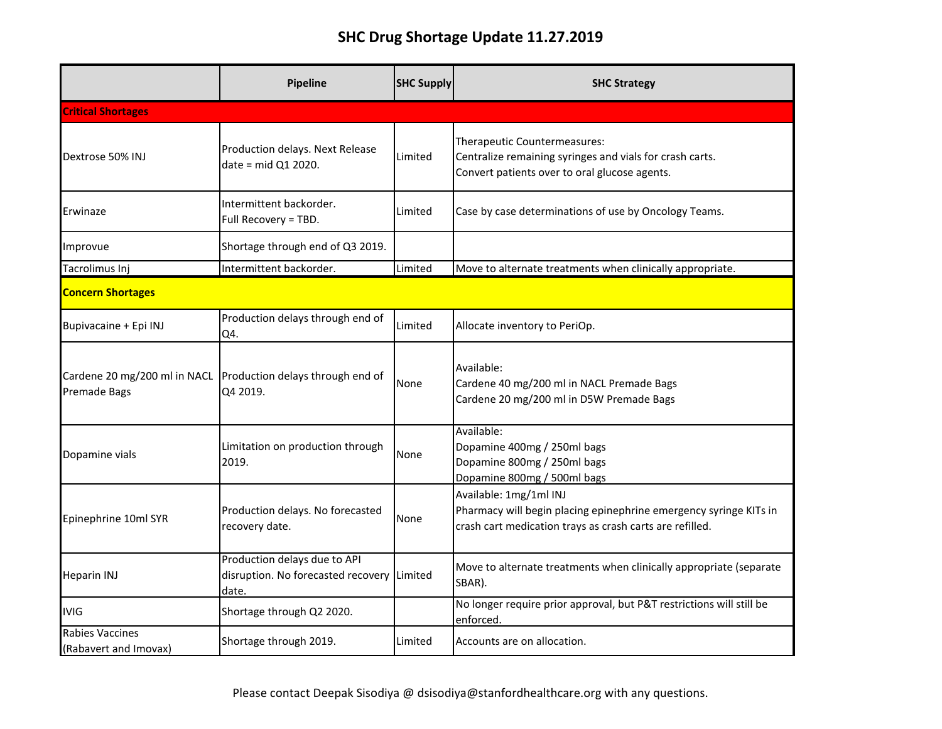## **SHC Drug Shortage Update 11.27.2019**

|                                              | Pipeline                                                                            | <b>SHC Supply</b> | <b>SHC Strategy</b>                                                                                                                                     |  |
|----------------------------------------------|-------------------------------------------------------------------------------------|-------------------|---------------------------------------------------------------------------------------------------------------------------------------------------------|--|
| <b>Critical Shortages</b>                    |                                                                                     |                   |                                                                                                                                                         |  |
| Dextrose 50% INJ                             | Production delays. Next Release<br>date = $mid Q1 2020$ .                           | Limited           | Therapeutic Countermeasures:<br>Centralize remaining syringes and vials for crash carts.<br>Convert patients over to oral glucose agents.               |  |
| Erwinaze                                     | Intermittent backorder.<br>Full Recovery = TBD.                                     | Limited           | Case by case determinations of use by Oncology Teams.                                                                                                   |  |
| Improvue                                     | Shortage through end of Q3 2019.                                                    |                   |                                                                                                                                                         |  |
| Tacrolimus Inj                               | Intermittent backorder.                                                             | Limited           | Move to alternate treatments when clinically appropriate.                                                                                               |  |
| <b>Concern Shortages</b>                     |                                                                                     |                   |                                                                                                                                                         |  |
| Bupivacaine + Epi INJ                        | Production delays through end of<br>Q4.                                             | Limited           | Allocate inventory to PeriOp.                                                                                                                           |  |
| Cardene 20 mg/200 ml in NACL<br>Premade Bags | Production delays through end of<br>Q4 2019.                                        | None              | Available:<br>Cardene 40 mg/200 ml in NACL Premade Bags<br>Cardene 20 mg/200 ml in D5W Premade Bags                                                     |  |
| Dopamine vials                               | Limitation on production through<br>2019.                                           | None              | Available:<br>Dopamine 400mg / 250ml bags<br>Dopamine 800mg / 250ml bags<br>Dopamine 800mg / 500ml bags                                                 |  |
| Epinephrine 10ml SYR                         | Production delays. No forecasted<br>recovery date.                                  | None              | Available: 1mg/1ml INJ<br>Pharmacy will begin placing epinephrine emergency syringe KITs in<br>crash cart medication trays as crash carts are refilled. |  |
| <b>Heparin INJ</b>                           | Production delays due to API<br>disruption. No forecasted recovery Limited<br>date. |                   | Move to alternate treatments when clinically appropriate (separate<br>SBAR).                                                                            |  |
| IVIG                                         | Shortage through Q2 2020.                                                           |                   | No longer require prior approval, but P&T restrictions will still be<br>enforced.                                                                       |  |
| Rabies Vaccines<br>(Rabavert and Imovax)     | Shortage through 2019.                                                              | Limited           | Accounts are on allocation.                                                                                                                             |  |